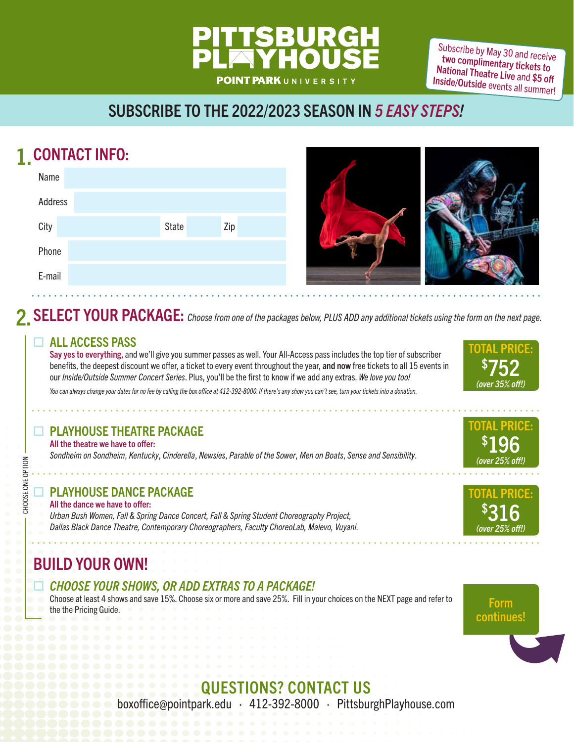# **POINT PARK**UNIVERSITY

Subscribe by May 30 and receive two complimentary tickets to National Theatre Live and \$5 off Inside/Outside events all summer!

# SUBSCRIBE TO THE 2022/2023 SEASON IN 5 EASY STEPS!

# 1. CONTACT INFO:

| Name    |              |     |
|---------|--------------|-----|
| Address |              |     |
| City    | <b>State</b> | Zip |
| Phone   |              |     |
| E-mail  |              |     |



# **2. SELECT YOUR PACKAGE:** Choose from one of the packages below, PLUS ADD any additional tickets using the form on the next page.

#### **EXALL ACCESS PASS**

Say yes to everything, and we'll give you summer passes as well. Your All-Access pass includes the top tier of subscriber benefits, the deepest discount we offer, a ticket to every event throughout the year, and now free tickets to all 15 events in our Inside/Outside Summer Concert Series. Plus, you'll be the first to know if we add any extras. We love you too!

You can always change your dates for no fee by calling the box office at 412-392-8000. If there's any show you can't see, turn your tickets into a donation.

#### PLAYHOUSE THEATRE PACKAGE

All the theatre we have to offer: Sondheim on Sondheim, Kentucky, Cinderella, Newsies, Parable of the Sower, Men on Boats, Sense and Sensibility.

#### PLAYHOUSE DANCE PACKAGE

#### All the dance we have to offer:

CHOOSE ONE OPTION

CHOOSE ONE OPTION

Urban Bush Women, Fall & Spring Dance Concert, Fall & Spring Student Choreography Project, Dallas Black Dance Theatre, Contemporary Choreographers, Faculty ChoreoLab, Malevo, Vuyani.

## BUILD YOUR OWN!

#### CHOOSE YOUR SHOWS, OR ADD EXTRAS TO A PACKAGE!

Choose at least 4 shows and save 15%. Choose six or more and save 25%. Fill in your choices on the NEXT page and refer to **Form**<br>the the Pricing Guide.



**Form**<br>continues!

# QUESTIONS? CONTACT US

boxoffice@pointpark.edu · 412-392-8000 · PittsburghPlayhouse.com



TOTAL PRICE:

196 (over 25% off!)

\$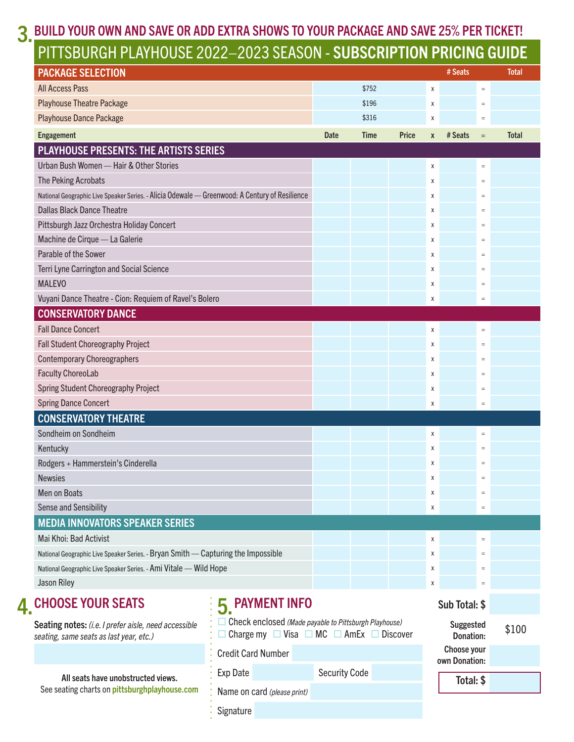# 3. BUILD YOUR OWN AND SAVE OR ADD EXTRA SHOWS TO YOUR PACKAGE AND SAVE 25% PER TICKET!

# PITTSBURGH PLAYHOUSE 2022–2023 SEASON - SUBSCRIPTION PRICING GUIDE

| <b>PACKAGE SELECTION</b>                                                                        |                                                                                                                      |                      |       |              |   | # Seats                       |                 | Total        |
|-------------------------------------------------------------------------------------------------|----------------------------------------------------------------------------------------------------------------------|----------------------|-------|--------------|---|-------------------------------|-----------------|--------------|
| <b>All Access Pass</b>                                                                          |                                                                                                                      |                      | \$752 |              | χ |                               | $=$             |              |
| <b>Playhouse Theatre Package</b>                                                                |                                                                                                                      |                      | \$196 |              | χ |                               | $=$             |              |
| <b>Playhouse Dance Package</b>                                                                  |                                                                                                                      |                      | \$316 |              | Х |                               | $\equiv$        |              |
| Engagement                                                                                      |                                                                                                                      | <b>Date</b>          | Time  | <b>Price</b> | X | # Seats                       | $=$             | <b>Total</b> |
| <b>PLAYHOUSE PRESENTS: THE ARTISTS SERIES</b>                                                   |                                                                                                                      |                      |       |              |   |                               |                 |              |
| Urban Bush Women - Hair & Other Stories                                                         |                                                                                                                      |                      |       |              | Χ |                               | $\equiv$        |              |
| The Peking Acrobats                                                                             |                                                                                                                      |                      |       |              | χ |                               | $\quad \  \, =$ |              |
| National Geographic Live Speaker Series. - Alicia Odewale - Greenwood: A Century of Resilience  |                                                                                                                      |                      |       |              | Χ |                               | $=$             |              |
| <b>Dallas Black Dance Theatre</b>                                                               |                                                                                                                      |                      |       |              | χ |                               | $=$             |              |
| Pittsburgh Jazz Orchestra Holiday Concert                                                       |                                                                                                                      |                      |       |              | Χ |                               | $=$             |              |
| Machine de Cirque - La Galerie                                                                  |                                                                                                                      |                      |       |              | χ |                               | $=$             |              |
| Parable of the Sower                                                                            |                                                                                                                      |                      |       |              | Χ |                               | $=$             |              |
| <b>Terri Lyne Carrington and Social Science</b>                                                 |                                                                                                                      |                      |       |              | χ |                               | $=$             |              |
| <b>MALEVO</b>                                                                                   |                                                                                                                      |                      |       |              | χ |                               | $\quad \  \, =$ |              |
| Vuyani Dance Theatre - Cion: Requiem of Ravel's Bolero                                          |                                                                                                                      |                      |       |              | Χ |                               | $\quad \  \, =$ |              |
| <b>CONSERVATORY DANCE</b>                                                                       |                                                                                                                      |                      |       |              |   |                               |                 |              |
| <b>Fall Dance Concert</b>                                                                       |                                                                                                                      |                      |       |              | Χ |                               | $\quad \  \, =$ |              |
| Fall Student Choreography Project                                                               |                                                                                                                      |                      |       |              | Χ |                               | $=$             |              |
| <b>Contemporary Choreographers</b>                                                              |                                                                                                                      |                      |       |              | χ |                               | $\quad \  \, =$ |              |
| <b>Faculty ChoreoLab</b>                                                                        |                                                                                                                      |                      |       |              | Х |                               | $=$             |              |
| Spring Student Choreography Project                                                             |                                                                                                                      |                      |       |              | χ |                               | $=$             |              |
| <b>Spring Dance Concert</b>                                                                     |                                                                                                                      |                      |       |              | χ |                               | $\quad \  \  =$ |              |
| <b>CONSERVATORY THEATRE</b>                                                                     |                                                                                                                      |                      |       |              |   |                               |                 |              |
| Sondheim on Sondheim                                                                            |                                                                                                                      |                      |       |              | χ |                               | $=$             |              |
| Kentucky                                                                                        |                                                                                                                      |                      |       |              | χ |                               | $\quad \  \, =$ |              |
| Rodgers + Hammerstein's Cinderella                                                              |                                                                                                                      |                      |       |              | x |                               | $=$             |              |
| <b>Newsies</b>                                                                                  |                                                                                                                      |                      |       |              | X |                               | $=$             |              |
| Men on Boats                                                                                    |                                                                                                                      |                      |       |              | X |                               | $\quad \  \  =$ |              |
| <b>Sense and Sensibility</b>                                                                    |                                                                                                                      |                      |       |              | X |                               | $=$             |              |
| <b>MEDIA INNOVATORS SPEAKER SERIES</b>                                                          |                                                                                                                      |                      |       |              |   |                               |                 |              |
| Mai Khoi: Bad Activist                                                                          |                                                                                                                      |                      |       |              | χ |                               | $\equiv$        |              |
| National Geographic Live Speaker Series. - Bryan Smith - Capturing the Impossible               |                                                                                                                      |                      |       |              | Х |                               | $\quad \  \, =$ |              |
| National Geographic Live Speaker Series. - Ami Vitale - Wild Hope                               |                                                                                                                      |                      |       |              | X |                               | $\quad \  \  =$ |              |
| Jason Riley                                                                                     |                                                                                                                      |                      |       |              | X |                               | $\quad \  \, =$ |              |
| <b>CHOOSE YOUR SEATS</b>                                                                        | 5 PAYMENT INFO                                                                                                       |                      |       |              |   | Sub Total: \$                 |                 |              |
| Seating notes: (i.e. I prefer aisle, need accessible<br>seating, same seats as last year, etc.) | Check enclosed (Made payable to Pittsburgh Playhouse)<br>Charge my $\Box$ Visa $\Box$ MC $\Box$ AmEx $\Box$ Discover |                      |       |              |   | <b>Suggested</b><br>Donation: |                 | \$100        |
|                                                                                                 | <b>Credit Card Number</b>                                                                                            |                      |       |              |   | Choose your<br>own Donation:  |                 |              |
| All seats have unobstructed views.                                                              | Exp Date                                                                                                             | <b>Security Code</b> |       |              |   | Total: \$                     |                 |              |
| See seating charts on pittsburghplayhouse.com                                                   | Name on card (please print)                                                                                          |                      |       |              |   |                               |                 |              |
|                                                                                                 | Signature                                                                                                            |                      |       |              |   |                               |                 |              |

4.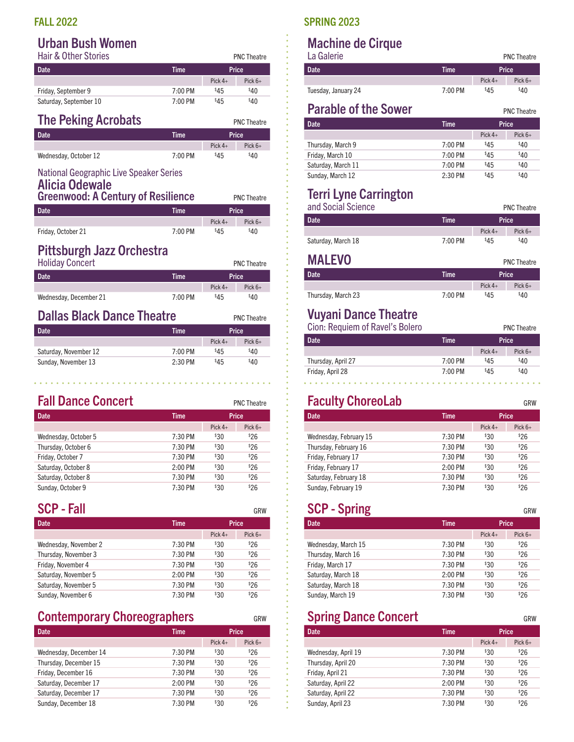#### Urban Bush Women

| <b>Hair &amp; Other Stories</b> |           |           | <b>PNC Theatre</b> |  |  |
|---------------------------------|-----------|-----------|--------------------|--|--|
| Date                            | Time      | Price     |                    |  |  |
|                                 |           | Pick $4+$ | Pick $6+$          |  |  |
| Friday, September 9             | $7:00$ PM | \$45      | \$40               |  |  |
| Saturday, September 10          | $7:00$ PM | \$45      | \$40               |  |  |

| <b>The Peking Acrobats</b> |             |           | <b>PNC Theatre</b> |
|----------------------------|-------------|-----------|--------------------|
| <b>Date</b>                | <b>Time</b> |           | Price              |
|                            |             | Pick $4+$ | Pick $6+$          |
| Wednesday, October 12      | 7:00 PM     | \$45      | <sup>\$</sup> 4በ   |

#### National Geographic Live Speaker Series

| <b>Alicia Odewale</b><br><b>Greenwood: A Century of Resilience</b> | <b>PNC Theatre</b> |
|--------------------------------------------------------------------|--------------------|
|                                                                    |                    |

| Date <sup>1</sup>  | Time    | <b>Price</b> |           |  |
|--------------------|---------|--------------|-----------|--|
|                    |         | Pick $4+$    | Pick $6+$ |  |
| Friday, October 21 | 7:00 PM | \$45         | \$40      |  |

## Pittsburgh Jazz Orchestra

| <b>Holiday Concert</b> |         |           | <b>PNC Theatre</b> |
|------------------------|---------|-----------|--------------------|
| Date                   | Time    | Price     |                    |
|                        |         | Pick $4+$ | Pick $6+$          |
| Wednesday, December 21 | 7:00 PM | \$45      | \$40               |

#### **Dallas Black Dance Theatre** PNC Theatre

Sunday, November 13 2:30 PM

| Dalias Diack Dalice Tileatie<br><b>PNC Theat</b> |           |           |           |  |  |
|--------------------------------------------------|-----------|-----------|-----------|--|--|
| Date                                             | Time      | Price     |           |  |  |
|                                                  |           | Pick $4+$ | Pick $6+$ |  |  |
| Saturday, November 12                            | $7:00$ PM | \$45      | \$40      |  |  |

 $$45$ 

 $\sim$  $\mathbf{r}$  \$40

. . . . . . . . .

| <b>Fall Dance Concert</b> |             |                 | <b>PNC Theatre</b> |  |
|---------------------------|-------------|-----------------|--------------------|--|
| <b>Date</b>               | <b>Time</b> | Price           |                    |  |
|                           |             | Pick $4+$       | Pick $6+$          |  |
| Wednesday, October 5      | 7:30 PM     | <sup>\$30</sup> | \$26               |  |
| Thursday, October 6       | 7:30 PM     | \$30            | \$26               |  |
| Friday, October 7         | 7:30 PM     | \$30            | \$26               |  |
| Saturday, October 8       | $2:00$ PM   | \$30            | \$26               |  |
| Saturday, October 8       | 7:30 PM     | \$30            | \$26               |  |
| Sunday, October 9         | 7:30 PM     | \$30            | \$26               |  |

| <b>SCP - Fall</b>     |             |                 | GRW       |  |
|-----------------------|-------------|-----------------|-----------|--|
| <b>Date</b>           | <b>Time</b> | Price           |           |  |
|                       |             | Pick $4+$       | Pick $6+$ |  |
| Wednesday, November 2 | 7:30 PM     | <sup>\$30</sup> | \$26      |  |
| Thursday, November 3  | 7:30 PM     | <sup>\$30</sup> | \$26      |  |
| Friday, November 4    | 7:30 PM     | \$30            | \$26      |  |
| Saturday, November 5  | $2:00$ PM   | \$30            | \$26      |  |
| Saturday, November 5  | 7:30 PM     | \$30            | \$26      |  |
| Sunday, November 6    | 7:30 PM     | \$30            | \$26      |  |

#### **Contemporary Choreographers** GRW

| <b>Date</b>            | <b>Time</b> | Price           |           |
|------------------------|-------------|-----------------|-----------|
|                        |             | Pick $4+$       | Pick $6+$ |
| Wednesday, December 14 | 7:30 PM     | <sup>\$30</sup> | \$26      |
| Thursday, December 15  | 7:30 PM     | <sup>\$30</sup> | \$26      |
| Friday, December 16    | 7:30 PM     | <sup>\$30</sup> | \$26      |
| Saturday, December 17  | $2:00$ PM   | <sup>\$30</sup> | \$26      |
| Saturday, December 17  | 7:30 PM     | <sup>\$30</sup> | \$26      |
| Sunday, December 18    | 7:30 PM     | $30^{\circ}$    | \$26      |

#### FALL 2022 SPRING 2023

#### Machine de Cirque La Galerie PNC Theatre

| La ualelle          |           |           | <b>PNC</b> Ineatre |
|---------------------|-----------|-----------|--------------------|
| Date <sup>1</sup>   | Time      | Price     |                    |
|                     |           | Pick $4+$ | Pick $6+$          |
| Tuesday, January 24 | $7:00$ PM | \$45      | \$40               |

#### **Parable of the Sower PNC Theatre**

| Date <sup>1</sup>  | <b>Time</b>       | Price     |           |
|--------------------|-------------------|-----------|-----------|
|                    |                   | Pick $4+$ | Pick $6+$ |
| Thursday, March 9  | $7:00$ PM         | \$45      | \$40      |
| Friday, March 10   | $7:00 \text{ PM}$ | \$45      | \$40      |
| Saturday, March 11 | 7:00 PM           | \$45      | \$40      |
| Sunday, March 12   | $2:30$ PM         | \$45      | \$40      |

# Terri Lyne Carrington

| and Social Science |             |           | <b>PNC Theatre</b> |
|--------------------|-------------|-----------|--------------------|
| <b>Date</b>        | <b>Time</b> | Price     |                    |
|                    |             | Pick $4+$ | Pick $6+$          |
| Saturday, March 18 | $7:00$ PM   | \$45      | \$40               |

| <b>MALEVO</b>      |             |           | <b>PNC Theatre</b> |
|--------------------|-------------|-----------|--------------------|
| <b>Date</b>        | <b>Time</b> |           | Price              |
|                    |             | Pick $4+$ | Pick $6+$          |
| Thursday, March 23 | 7:00 PM     | \$45      | \$40               |

# Vuyani Dance Theatre

Cion: Requiem of Ravel's Bolero Physics PNC Theatre

| <b>Date</b>        | Time      |           | Price     |
|--------------------|-----------|-----------|-----------|
|                    |           | Pick $4+$ | Pick $6+$ |
| Thursday, April 27 | $7:00$ PM | \$45      | \$40      |
| Friday, April 28   | 7:00 PM   | \$45      | \$40      |

## **Faculty ChoreoLab** GRW

| <b>Date</b>            | <b>Time</b> | Price         |           |
|------------------------|-------------|---------------|-----------|
|                        |             | Pick $4+$     | Pick $6+$ |
| Wednesday, February 15 | $7:30$ PM   | $330^{\circ}$ | \$26      |
| Thursday, February 16  | $7:30$ PM   | \$30          | \$26      |
| Friday, February 17    | 7:30 PM     | $330^{\circ}$ | \$26      |
| Friday, February 17    | $2:00$ PM   | $330^{\circ}$ | \$26      |
| Saturday, February 18  | 7:30 PM     | \$30          | \$26      |
| Sunday, February 19    | $7:30$ PM   | 330           | \$26      |

#### SCP - Spring GRW

| r…a                 |             |               |           |  |
|---------------------|-------------|---------------|-----------|--|
| <b>Date</b>         | <b>Time</b> |               | Price     |  |
|                     |             | Pick $4+$     | Pick $6+$ |  |
| Wednesday, March 15 | 7:30 PM     | $30^{\circ}$  | \$26      |  |
| Thursday, March 16  | 7:30 PM     | $30^{\circ}$  | \$26      |  |
| Friday, March 17    | 7:30 PM     | $30^{\circ}$  | \$26      |  |
| Saturday, March 18  | $2:00$ PM   | $330^{\circ}$ | \$26      |  |
| Saturday, March 18  | 7:30 PM     | $30^{\circ}$  | \$26      |  |
| Sunday, March 19    | 7:30 PM     | $30^{\circ}$  | \$26      |  |

#### Spring Dance Concert GRW

| Date                | <b>Time</b> |                 | Price     |
|---------------------|-------------|-----------------|-----------|
|                     |             | Pick $4+$       | Pick $6+$ |
| Wednesday, April 19 | 7:30 PM     | <sup>\$30</sup> | \$26      |
| Thursday, April 20  | 7:30 PM     | \$30            | \$26      |
| Friday, April 21    | $7:30$ PM   | <sup>\$30</sup> | \$26      |
| Saturday, April 22  | $2:00$ PM   | \$30            | \$26      |
| Saturday, April 22  | 7:30 PM     | \$30            | \$26      |
| Sunday, April 23    | 7:30 PM     | 330             | \$26      |